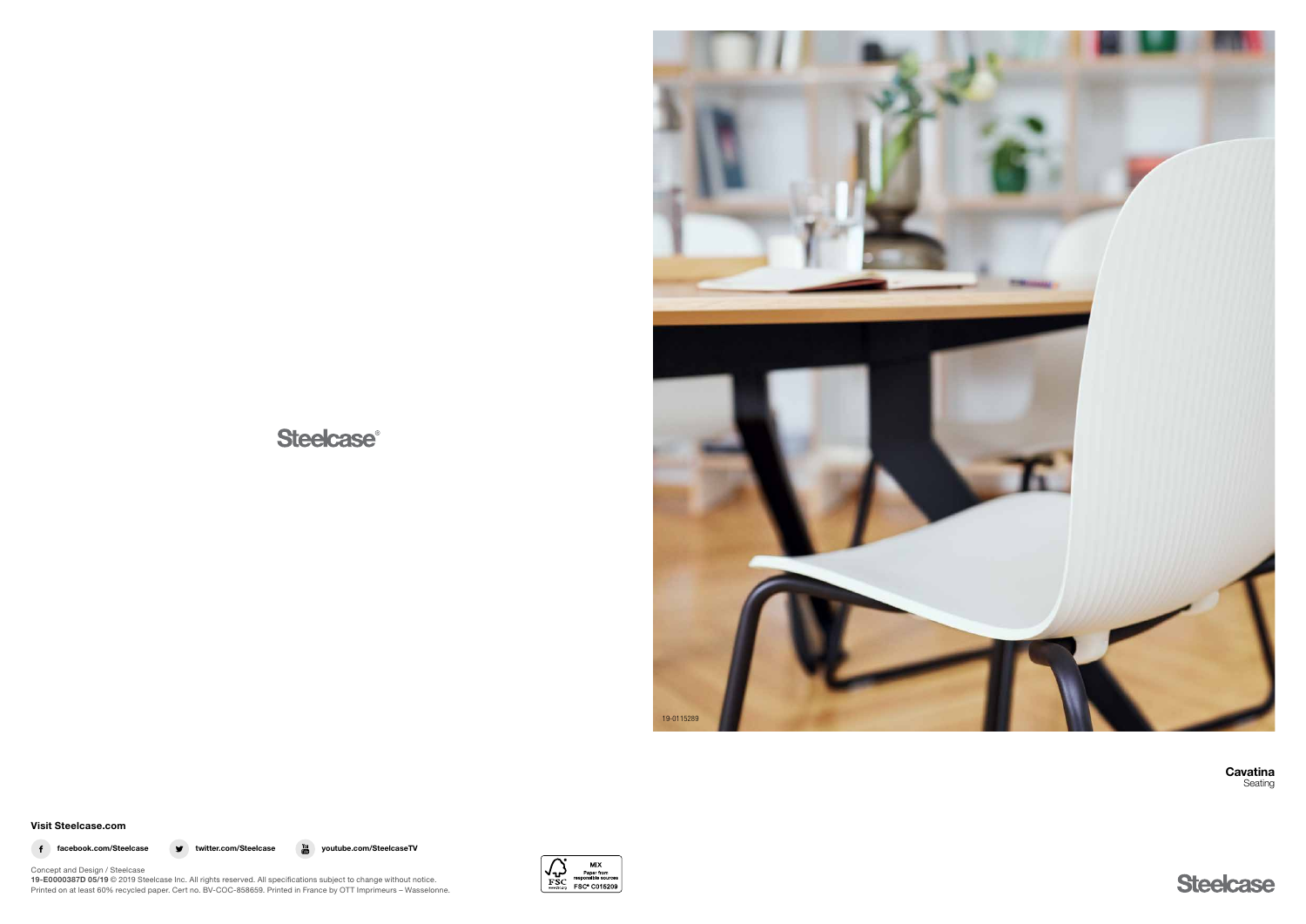

**Steelcase®** 

**Cavatina** Seating



## Visit Steelcase.com



f facebook.com/Steelcase v twitter.com/Steelcase  $\frac{v_{\text{out}}}{\text{cm}}$  youtube.com/SteelcaseTV



Concept and Design / Steelcase 19-E0000387D 05/19 © 2019 Steelcase Inc. All rights reserved. All specifications subject to change without notice. Printed on at least 60% recycled paper. Cert no. BV-COC-858659. Printed in France by OTT Imprimeurs – Wasselonne.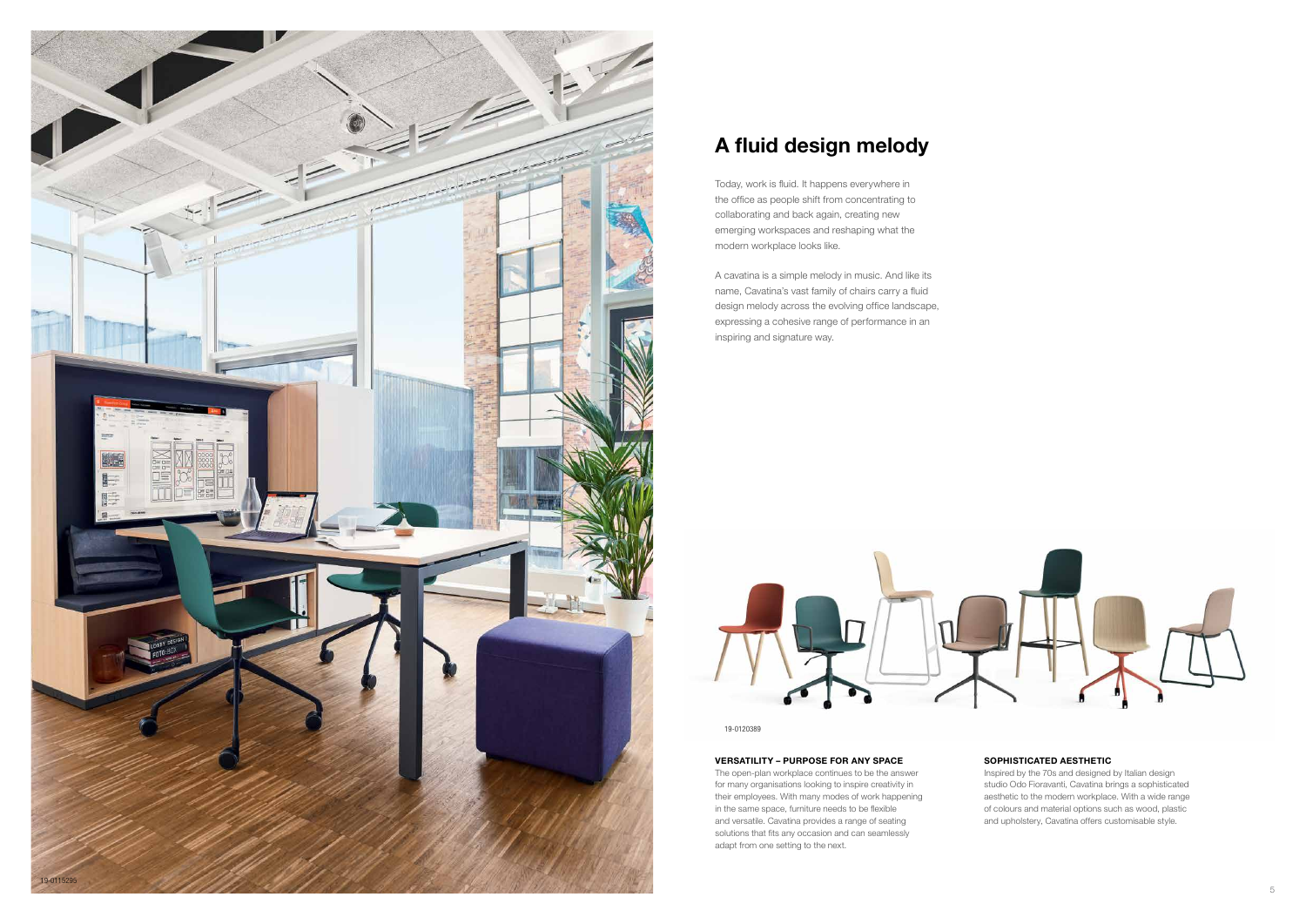

19-0120389

# A fluid design melody

Today, work is fluid. It happens everywhere in the office as people shift from concentrating to collaborating and back again, creating new emerging workspaces and reshaping what the modern workplace looks like.

A cavatina is a simple melody in music. And like its name, Cavatina's vast family of chairs carry a fluid design melody across the evolving office landscape, expressing a cohesive range of performance in an inspiring and signature way.



#### VERSATILITY – PURPOSE FOR ANY SPACE

The open-plan workplace continues to be the answer for many organisations looking to inspire creativity in their employees. With many modes of work happening in the same space, furniture needs to be flexible and versatile. Cavatina provides a range of seating solutions that fits any occasion and can seamlessly adapt from one setting to the next.

## SOPHISTICATED AESTHETIC

Inspired by the 70s and designed by Italian design studio Odo Fioravanti, Cavatina brings a sophisticated aesthetic to the modern workplace. With a wide range of colours and material options such as wood, plastic and upholstery, Cavatina offers customisable style.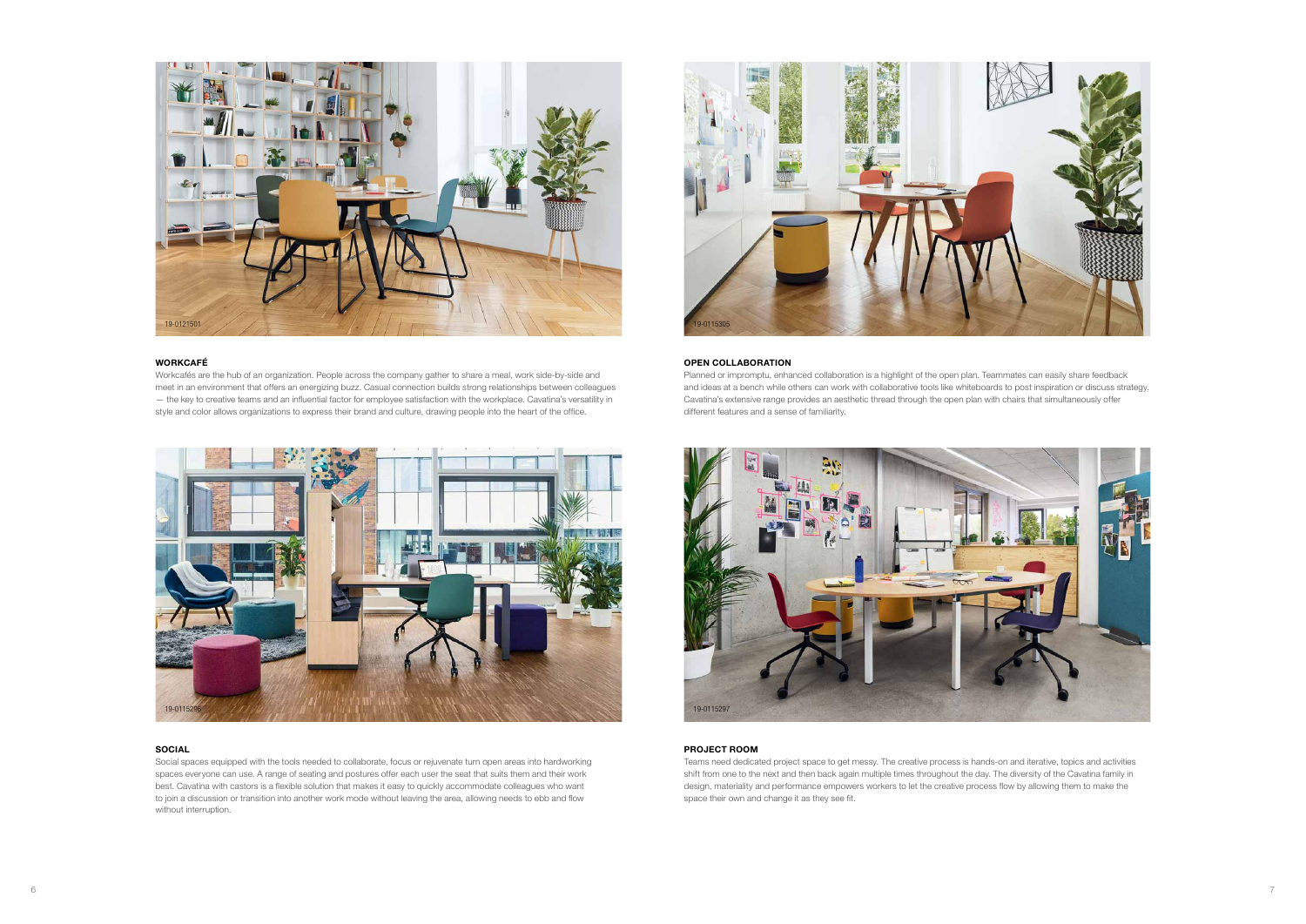







## WORKCAFÉ

Workcafés are the hub of an organization. People across the company gather to share a meal, work side-by-side and meet in an environment that offers an energizing buzz. Casual connection builds strong relationships between colleagues — the key to creative teams and an influential factor for employee satisfaction with the workplace. Cavatina's versatility in style and color allows organizations to express their brand and culture, drawing people into the heart of the office.

## SOCIAL

Social spaces equipped with the tools needed to collaborate, focus or rejuvenate turn open areas into hardworking spaces everyone can use. A range of seating and postures offer each user the seat that suits them and their work best. Cavatina with castors is a flexible solution that makes it easy to quickly accommodate colleagues who want to join a discussion or transition into another work mode without leaving the area, allowing needs to ebb and flow without interruption.

### OPEN COLLABORATION

Planned or impromptu, enhanced collaboration is a highlight of the open plan. Teammates can easily share feedback and ideas at a bench while others can work with collaborative tools like whiteboards to post inspiration or discuss strategy. Cavatina's extensive range provides an aesthetic thread through the open plan with chairs that simultaneously offer different features and a sense of familiarity.

### PROJECT ROOM

Teams need dedicated project space to get messy. The creative process is hands-on and iterative, topics and activities shift from one to the next and then back again multiple times throughout the day. The diversity of the Cavatina family in design, materiality and performance empowers workers to let the creative process flow by allowing them to make the space their own and change it as they see fit.